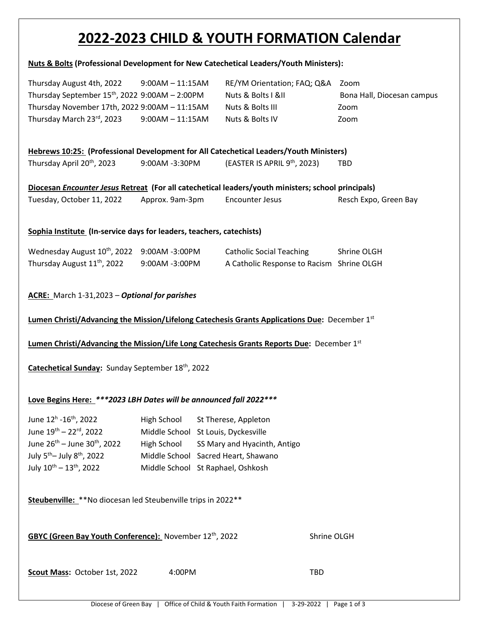# **2022-2023 CHILD & YOUTH FORMATION Calendar**

#### **Nuts & Bolts (Professional Development for New Catechetical Leaders/Youth Ministers):**

| Thursday August 4th, 2022                        | $9:00AM - 11:15AM$ | RE/YM Orientation; FAQ; Q&A Zoom |                            |
|--------------------------------------------------|--------------------|----------------------------------|----------------------------|
| Thursday September $15th$ , 2022 9:00AM - 2:00PM |                    | Nuts & Bolts I &II               | Bona Hall, Diocesan campus |
| Thursday November 17th, 2022 9:00AM - 11:15AM    |                    | Nuts & Bolts III                 | Zoom                       |
| Thursday March 23rd, 2023                        | $9:00AM - 11:15AM$ | Nuts & Bolts IV                  | Zoom                       |

#### **Hebrews 10:25: (Professional Development for All Catechetical Leaders/Youth Ministers)**

| Thursday April 20 <sup>th</sup> , 2023 | 9:00AM -3:30PM | (EASTER IS APRIL 9th, 2023) | TBD |
|----------------------------------------|----------------|-----------------------------|-----|
|----------------------------------------|----------------|-----------------------------|-----|

| Diocesan Encounter Jesus Retreat (For all catechetical leaders/youth ministers; school principals) |                 |                 |                       |
|----------------------------------------------------------------------------------------------------|-----------------|-----------------|-----------------------|
| Tuesday, October 11, 2022                                                                          | Approx. 9am-3pm | Encounter Jesus | Resch Expo, Green Bay |

#### **Sophia Institute (In-service days for leaders, teachers, catechists)**

| Wednesday August 10th, 2022 9:00AM -3:00PM |                | <b>Catholic Social Teaching</b>           | Shrine OLGH |
|--------------------------------------------|----------------|-------------------------------------------|-------------|
| Thursday August 11 <sup>th</sup> , 2022    | 9:00AM -3:00PM | A Catholic Response to Racism Shrine OLGH |             |

#### **ACRE:** March 1-31,2023 – *Optional for parishes*

#### **Lumen Christi/Advancing the Mission/Lifelong Catechesis Grants Applications Due:** December 1st

#### Lumen Christi/Advancing the Mission/Life Long Catechesis Grants Reports Due: December 1<sup>st</sup>

#### **Catechetical Sunday:** Sunday September 18th, 2022

## **Love Begins Here:** *\*\*\*2023 LBH Dates will be announced fall 2022\*\*\**

| June 12 <sup>h</sup> -16 <sup>th</sup> , 2022      | High School St Therese, Appleton         |
|----------------------------------------------------|------------------------------------------|
| June 19th - 22rd, 2022                             | Middle School St Louis, Dyckesville      |
| June $26^{th}$ – June $30^{th}$ , 2022             | High School SS Mary and Hyacinth, Antigo |
| July 5 <sup>th</sup> - July 8 <sup>th</sup> , 2022 | Middle School Sacred Heart, Shawano      |
| July 10 <sup>th</sup> - 13 <sup>th</sup> , 2022    | Middle School St Raphael, Oshkosh        |

Steubenville: \*\*No diocesan led Steubenville trips in 2022 \*\*

**GBYC (Green Bay Youth Conference):** November 12<sup>th</sup>, 2022 Shrine OLGH

**Scout Mass:** October 1st, 2022 4:00PM TBD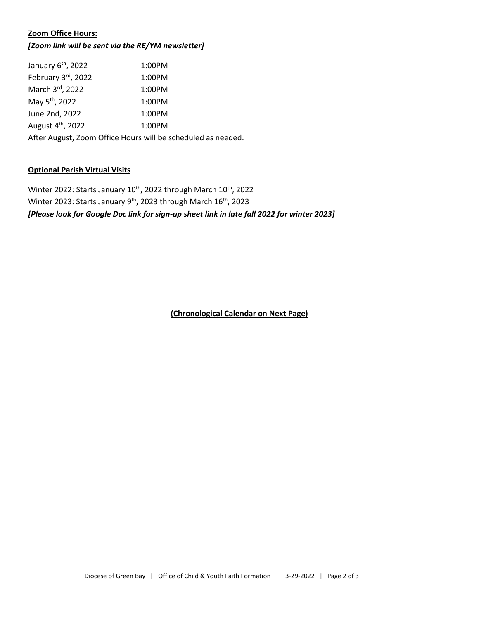#### **Zoom Office Hours:**

*[Zoom link will be sent via the RE/YM newsletter]*

| January 6 <sup>th</sup> , 2022                               | 1:00PM |  |
|--------------------------------------------------------------|--------|--|
| February 3rd, 2022                                           | 1:00PM |  |
| March 3rd, 2022                                              | 1:00PM |  |
| May 5 <sup>th</sup> , 2022                                   | 1:00PM |  |
| June 2nd, 2022                                               | 1:00PM |  |
| August 4 <sup>th</sup> , 2022                                | 1:00PM |  |
| After August, Zoom Office Hours will be scheduled as needed. |        |  |

# **Optional Parish Virtual Visits**

Winter 2022: Starts January 10<sup>th</sup>, 2022 through March 10<sup>th</sup>, 2022 Winter 2023: Starts January 9<sup>th</sup>, 2023 through March 16<sup>th</sup>, 2023 *[Please look for Google Doc link for sign-up sheet link in late fall 2022 for winter 2023]*

**(Chronological Calendar on Next Page)**